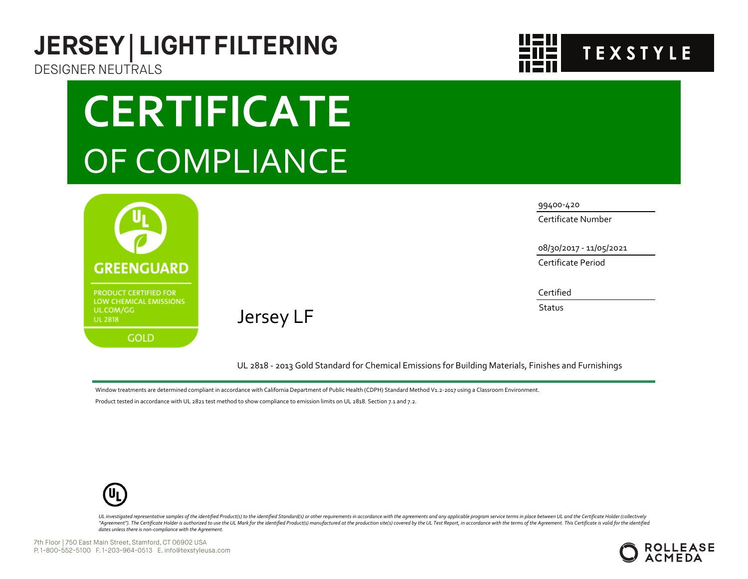## **JERSEY | LIGHT FILTERING** DESIGNER NEUTRALS

## **CERTIFICATE** OF COMPLIANCE



Jersey LF

99400-420

Certificate Number

08/30/2017 - 11/05/2021

**TEXSTYLE** 

Certificate Period

Certified

**Status** 

UL 2818 - 2013 Gold Standard for Chemical Emissions for Building Materials, Finishes and Furnishings

Window treatments are determined compliant in accordance with California Department of Public Health (CDPH) Standard Method V1.2-2017 using a Classroom Environment.

Product tested in accordance with UL 2821 test method to show compliance to emission limits on UL 2818. Section 7.1 and 7.2.



UL investigated representative samples of the identified Product(s) to the identified Standard(s) or other requirements in accordance with the agreements and any applicable program service terms in place between UL and the "Agreement"). The Certificate Holder is authorized to use the UL Mark for the identified Product(s) manufactured at the production site(s) covered by the UL Test Report, in accordance with the terms of the Agreement. This *dates unless there is non-compliance with the Agreement.*

7th Floor | 750 East Main Street, Stamford, CT 06902 USA P. 1-800-552-5100 F. 1-203-964-0513 E. info@texstyleusa.com